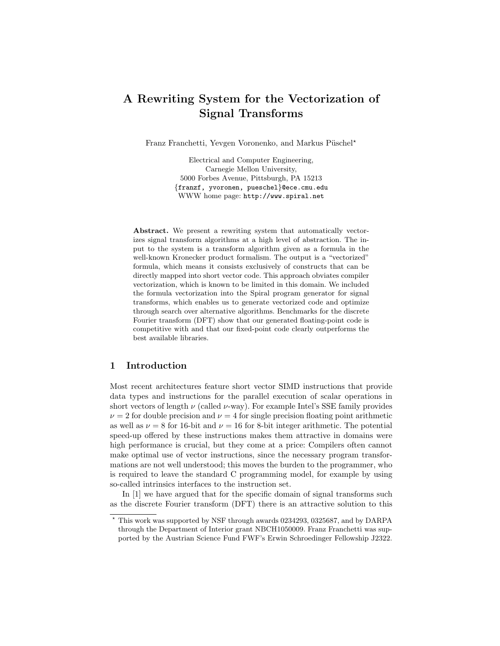# A Rewriting System for the Vectorization of Signal Transforms

Franz Franchetti, Yevgen Voronenko, and Markus Püschel\*

Electrical and Computer Engineering, Carnegie Mellon University, 5000 Forbes Avenue, Pittsburgh, PA 15213 {franzf, yvoronen, pueschel}@ece.cmu.edu WWW home page: http://www.spiral.net

Abstract. We present a rewriting system that automatically vectorizes signal transform algorithms at a high level of abstraction. The input to the system is a transform algorithm given as a formula in the well-known Kronecker product formalism. The output is a "vectorized" formula, which means it consists exclusively of constructs that can be directly mapped into short vector code. This approach obviates compiler vectorization, which is known to be limited in this domain. We included the formula vectorization into the Spiral program generator for signal transforms, which enables us to generate vectorized code and optimize through search over alternative algorithms. Benchmarks for the discrete Fourier transform (DFT) show that our generated floating-point code is competitive with and that our fixed-point code clearly outperforms the best available libraries.

# 1 Introduction

Most recent architectures feature short vector SIMD instructions that provide data types and instructions for the parallel execution of scalar operations in short vectors of length  $\nu$  (called  $\nu$ -way). For example Intel's SSE family provides  $\nu = 2$  for double precision and  $\nu = 4$  for single precision floating point arithmetic as well as  $\nu = 8$  for 16-bit and  $\nu = 16$  for 8-bit integer arithmetic. The potential speed-up offered by these instructions makes them attractive in domains were high performance is crucial, but they come at a price: Compilers often cannot make optimal use of vector instructions, since the necessary program transformations are not well understood; this moves the burden to the programmer, who is required to leave the standard C programming model, for example by using so-called intrinsics interfaces to the instruction set.

In [1] we have argued that for the specific domain of signal transforms such as the discrete Fourier transform (DFT) there is an attractive solution to this

<sup>?</sup> This work was supported by NSF through awards 0234293, 0325687, and by DARPA through the Department of Interior grant NBCH1050009. Franz Franchetti was supported by the Austrian Science Fund FWF's Erwin Schroedinger Fellowship J2322.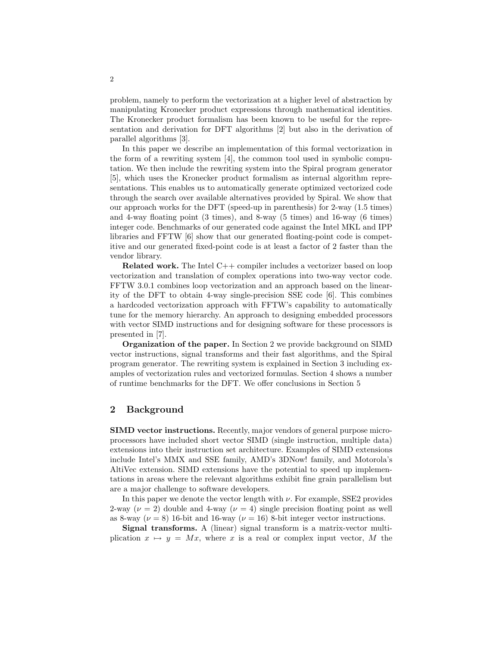problem, namely to perform the vectorization at a higher level of abstraction by manipulating Kronecker product expressions through mathematical identities. The Kronecker product formalism has been known to be useful for the representation and derivation for DFT algorithms [2] but also in the derivation of parallel algorithms [3].

In this paper we describe an implementation of this formal vectorization in the form of a rewriting system [4], the common tool used in symbolic computation. We then include the rewriting system into the Spiral program generator [5], which uses the Kronecker product formalism as internal algorithm representations. This enables us to automatically generate optimized vectorized code through the search over available alternatives provided by Spiral. We show that our approach works for the DFT (speed-up in parenthesis) for 2-way (1.5 times) and 4-way floating point (3 times), and 8-way (5 times) and 16-way (6 times) integer code. Benchmarks of our generated code against the Intel MKL and IPP libraries and FFTW [6] show that our generated floating-point code is competitive and our generated fixed-point code is at least a factor of 2 faster than the vendor library.

Related work. The Intel C++ compiler includes a vectorizer based on loop vectorization and translation of complex operations into two-way vector code. FFTW 3.0.1 combines loop vectorization and an approach based on the linearity of the DFT to obtain 4-way single-precision SSE code [6]. This combines a hardcoded vectorization approach with FFTW's capability to automatically tune for the memory hierarchy. An approach to designing embedded processors with vector SIMD instructions and for designing software for these processors is presented in [7].

Organization of the paper. In Section 2 we provide background on SIMD vector instructions, signal transforms and their fast algorithms, and the Spiral program generator. The rewriting system is explained in Section 3 including examples of vectorization rules and vectorized formulas. Section 4 shows a number of runtime benchmarks for the DFT. We offer conclusions in Section 5

### 2 Background

SIMD vector instructions. Recently, major vendors of general purpose microprocessors have included short vector SIMD (single instruction, multiple data) extensions into their instruction set architecture. Examples of SIMD extensions include Intel's MMX and SSE family, AMD's 3DNow! family, and Motorola's AltiVec extension. SIMD extensions have the potential to speed up implementations in areas where the relevant algorithms exhibit fine grain parallelism but are a major challenge to software developers.

In this paper we denote the vector length with  $\nu$ . For example, SSE2 provides 2-way ( $\nu = 2$ ) double and 4-way ( $\nu = 4$ ) single precision floating point as well as 8-way ( $\nu = 8$ ) 16-bit and 16-way ( $\nu = 16$ ) 8-bit integer vector instructions.

Signal transforms. A (linear) signal transform is a matrix-vector multiplication  $x \mapsto y = Mx$ , where x is a real or complex input vector, M the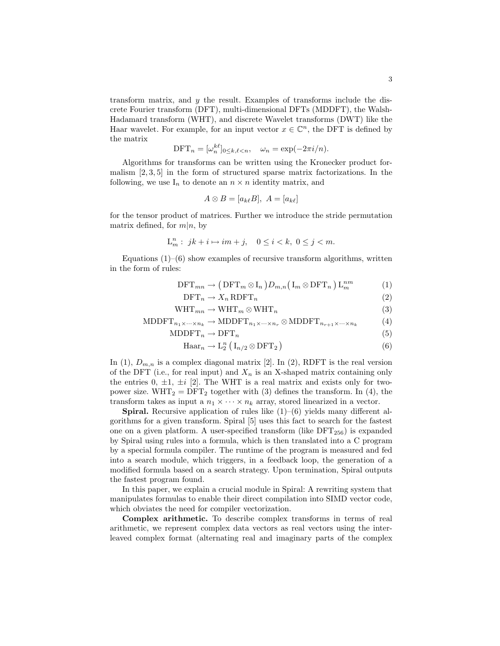transform matrix, and  $y$  the result. Examples of transforms include the discrete Fourier transform (DFT), multi-dimensional DFTs (MDDFT), the Walsh-Hadamard transform (WHT), and discrete Wavelet transforms (DWT) like the Haar wavelet. For example, for an input vector  $x \in \mathbb{C}^n$ , the DFT is defined by the matrix

$$
\text{DFT}_n = [\omega_n^{k\ell}]_{0 \le k,\ell < n}, \quad \omega_n = \exp(-2\pi i/n).
$$

Algorithms for transforms can be written using the Kronecker product formalism [2, 3, 5] in the form of structured sparse matrix factorizations. In the following, we use  $I_n$  to denote an  $n \times n$  identity matrix, and

$$
A \otimes B = [a_{k\ell}B], A = [a_{k\ell}]
$$

for the tensor product of matrices. Further we introduce the stride permutation matrix defined, for  $m|n$ , by

$$
\mathcal{L}_m^n: jk + i \mapsto im + j, \quad 0 \le i < k, \ 0 \le j < m.
$$

Equations  $(1)$ – $(6)$  show examples of recursive transform algorithms, written in the form of rules:

$$
\text{DFT}_{mn} \to \left(\text{DFT}_m \otimes \text{I}_n\right) D_{m,n} \left(\text{I}_m \otimes \text{DFT}_n\right) \text{L}_m^{nm} \tag{1}
$$

$$
\text{DFT}_n \to X_n \,\text{RDFT}_n \tag{2}
$$

$$
WHT_{mn} \to WHT_m \otimes WHT_n \tag{3}
$$

$$
MDDFT_{n_1 \times \cdots \times n_k} \to MDDFT_{n_1 \times \cdots \times n_r} \otimes MDDFT_{n_{r+1} \times \cdots \times n_k}
$$
 (4)

$$
MDDFTn \rightarrow DFTn
$$
\n(5)

$$
\text{Haar}_n \to \text{L}_2^n \left( \text{I}_{n/2} \otimes \text{DFT}_2 \right) \tag{6}
$$

In (1),  $D_{m,n}$  is a complex diagonal matrix [2]. In (2), RDFT is the real version of the DFT (i.e., for real input) and  $X_n$  is an X-shaped matrix containing only the entries  $0, \pm 1, \pm i$  [2]. The WHT is a real matrix and exists only for twopower size. WHT<sub>2</sub> = DFT<sub>2</sub> together with (3) defines the transform. In (4), the transform takes as input a  $n_1 \times \cdots \times n_k$  array, stored linearized in a vector.

**Spiral.** Recursive application of rules like  $(1)$ – $(6)$  yields many different algorithms for a given transform. Spiral [5] uses this fact to search for the fastest one on a given platform. A user-specified transform (like  $DFT_{256}$ ) is expanded by Spiral using rules into a formula, which is then translated into a C program by a special formula compiler. The runtime of the program is measured and fed into a search module, which triggers, in a feedback loop, the generation of a modified formula based on a search strategy. Upon termination, Spiral outputs the fastest program found.

In this paper, we explain a crucial module in Spiral: A rewriting system that manipulates formulas to enable their direct compilation into SIMD vector code, which obviates the need for compiler vectorization.

Complex arithmetic. To describe complex transforms in terms of real arithmetic, we represent complex data vectors as real vectors using the interleaved complex format (alternating real and imaginary parts of the complex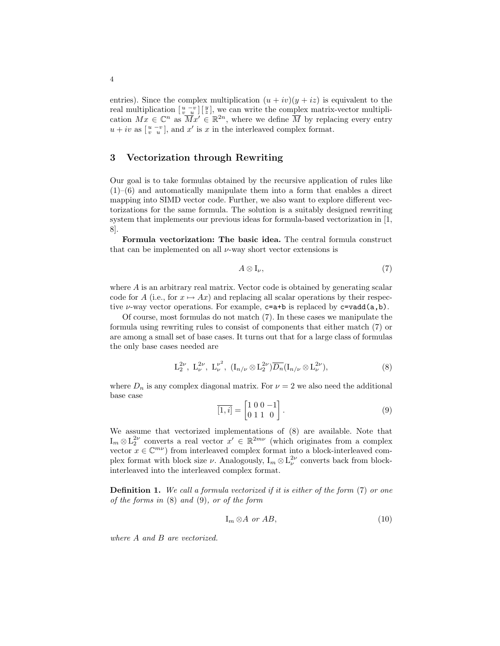entries). Since the complex multiplication  $(u + iv)(y + iz)$  is equivalent to the real multiplication  $\left[\begin{array}{cc} u-v\\v&u\end{array}\right]$  we can write the complex matrix-vector multiplication  $Mx \in \mathbb{C}^n$  as  $\overline{M}x' \in \mathbb{R}^{2n}$ , where we define  $\overline{M}$  by replacing every entry  $u + iv$  as  $\begin{bmatrix} u - v \\ v - u \end{bmatrix}$ , and  $x'$  is x in the interleaved complex format.

# 3 Vectorization through Rewriting

Our goal is to take formulas obtained by the recursive application of rules like  $(1)$ – $(6)$  and automatically manipulate them into a form that enables a direct mapping into SIMD vector code. Further, we also want to explore different vectorizations for the same formula. The solution is a suitably designed rewriting system that implements our previous ideas for formula-based vectorization in [1, 8].

Formula vectorization: The basic idea. The central formula construct that can be implemented on all  $\nu$ -way short vector extensions is

$$
A \otimes I_{\nu}, \tag{7}
$$

where A is an arbitrary real matrix. Vector code is obtained by generating scalar code for A (i.e., for  $x \mapsto Ax$ ) and replacing all scalar operations by their respective  $\nu$ -way vector operations. For example,  $c=a+b$  is replaced by  $c=vad(a,b)$ .

Of course, most formulas do not match (7). In these cases we manipulate the formula using rewriting rules to consist of components that either match (7) or are among a small set of base cases. It turns out that for a large class of formulas the only base cases needed are

$$
L_2^{2\nu}, L_\nu^{2\nu}, L_\nu^{\nu^2}, (I_{n/\nu} \otimes L_2^{2\nu})\overline{D_n}(I_{n/\nu} \otimes L_\nu^{2\nu}), \qquad (8)
$$

where  $D_n$  is any complex diagonal matrix. For  $\nu = 2$  we also need the additional base case

$$
\overline{[1,i]} = \begin{bmatrix} 1 & 0 & 0 & -1 \\ 0 & 1 & 1 & 0 \end{bmatrix} . \tag{9}
$$

We assume that vectorized implementations of (8) are available. Note that  $I_m \otimes L_2^{2\nu}$  converts a real vector  $x' \in \mathbb{R}^{2m\nu}$  (which originates from a complex vector  $x \in \mathbb{C}^{m\nu}$  from interleaved complex format into a block-interleaved complex format with block size  $\nu$ . Analogously,  $I_m \otimes L_{\nu}^{2\nu}$  converts back from blockinterleaved into the interleaved complex format.

**Definition 1.** We call a formula vectorized if it is either of the form (7) or one of the forms in (8) and (9), or of the form

$$
I_m \otimes A \text{ or } AB,\tag{10}
$$

where A and B are vectorized.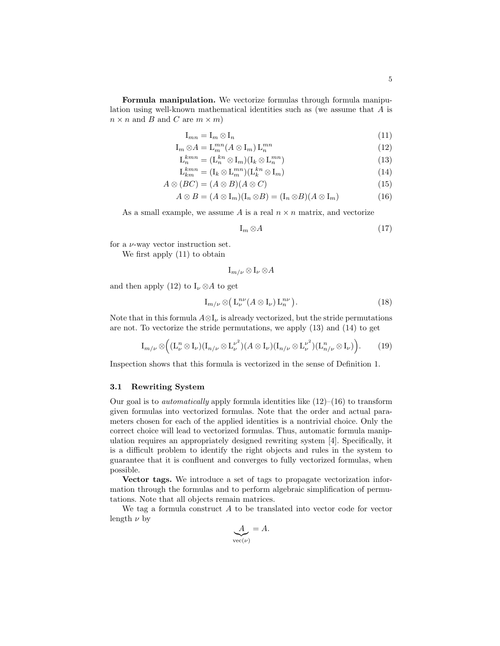Formula manipulation. We vectorize formulas through formula manipulation using well-known mathematical identities such as (we assume that A is  $n \times n$  and B and C are  $m \times m$ )

$$
\mathcal{I}_{mn} = \mathcal{I}_m \otimes \mathcal{I}_n \tag{11}
$$

$$
\mathcal{I}_m \otimes A = \mathcal{L}_m^{mn}(A \otimes \mathcal{I}_m) \mathcal{L}_n^{mn} \tag{12}
$$

$$
\mathcal{L}_n^{kmn} = (\mathcal{L}_n^{kn} \otimes \mathcal{I}_m)(\mathcal{I}_k \otimes \mathcal{L}_n^{mn}) \tag{13}
$$

$$
\mathcal{L}_{km}^{kmn} = (\mathcal{I}_k \otimes \mathcal{L}_m^{mn})(\mathcal{L}_k^{kn} \otimes \mathcal{I}_m) \tag{14}
$$

$$
A \otimes (BC) = (A \otimes B)(A \otimes C) \tag{15}
$$

$$
A \otimes B = (A \otimes I_m)(I_n \otimes B) = (I_n \otimes B)(A \otimes I_m)
$$
(16)

As a small example, we assume A is a real  $n \times n$  matrix, and vectorize

$$
I_m \otimes A \tag{17}
$$

for a  $\nu$ -way vector instruction set.

We first apply (11) to obtain

 $\mathrm{I}_{m/\nu} \otimes \mathrm{I}_{\nu} \otimes A$ 

and then apply (12) to  $I_{\nu} \otimes A$  to get

$$
I_{m/\nu} \otimes (L_{\nu}^{n\nu}(A \otimes I_{\nu}) L_n^{n\nu}). \tag{18}
$$

Note that in this formula  $A \otimes I_{\nu}$  is already vectorized, but the stride permutations are not. To vectorize the stride permutations, we apply (13) and (14) to get

$$
I_{m/\nu} \otimes \Big( (\mathcal{L}_{\nu}^n \otimes \mathcal{I}_{\nu})(\mathcal{I}_{n/\nu} \otimes \mathcal{L}_{\nu}^{\nu^2})(A \otimes \mathcal{I}_{\nu})(\mathcal{I}_{n/\nu} \otimes \mathcal{L}_{\nu}^{\nu^2})(\mathcal{L}_{n/\nu}^n \otimes \mathcal{I}_{\nu}) \Big).
$$
 (19)

Inspection shows that this formula is vectorized in the sense of Definition 1.

#### 3.1 Rewriting System

Our goal is to *automatically* apply formula identities like  $(12)$ – $(16)$  to transform given formulas into vectorized formulas. Note that the order and actual parameters chosen for each of the applied identities is a nontrivial choice. Only the correct choice will lead to vectorized formulas. Thus, automatic formula manipulation requires an appropriately designed rewriting system [4]. Specifically, it is a difficult problem to identify the right objects and rules in the system to guarantee that it is confluent and converges to fully vectorized formulas, when possible.

Vector tags. We introduce a set of tags to propagate vectorization information through the formulas and to perform algebraic simplification of permutations. Note that all objects remain matrices.

We tag a formula construct  $A$  to be translated into vector code for vector length  $\nu$  by

$$
\underbrace{A}_{\text{vec}(\nu)} = A.
$$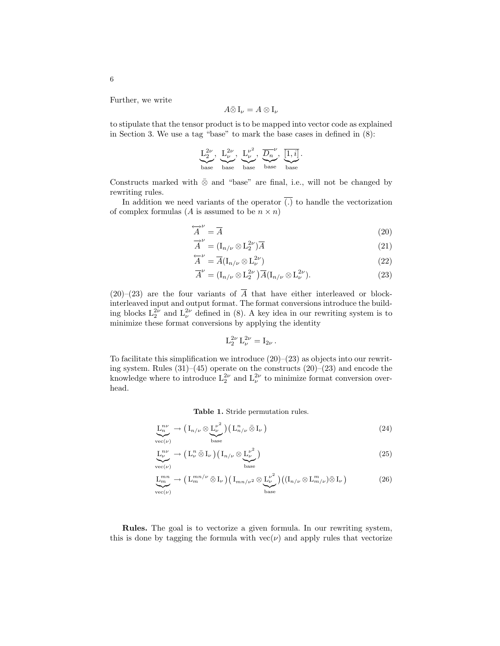Further, we write

$$
A\bar{\otimes} I_{\nu}=A\otimes I_{\nu}
$$

to stipulate that the tensor product is to be mapped into vector code as explained in Section 3. We use a tag "base" to mark the base cases in defined in (8):

$$
\underbrace{\mathrm{L}_{2}^{2\nu}}_{\mathrm{base}},~\underbrace{\mathrm{L}_{\nu}^{2\nu}}_{\mathrm{base}},~\underbrace{\mathrm{L}_{\nu}^{\nu^{2}}}_{\mathrm{base}},~\underbrace{\overline{\mathrm{D}_{n}}^{\nu}}_{\mathrm{base}},~\underbrace{\overline{[1,i]}}_{\mathrm{base}}.
$$

Constructs marked with  $\bar{\otimes}$  and "base" are final, i.e., will not be changed by rewriting rules.

In addition we need variants of the operator  $\overline{(.)}$  to handle the vectorization of complex formulas (A is assumed to be  $n \times n$ )

$$
\overleftrightarrow{A}^{\nu} = \overline{A}
$$
 (20)

$$
\overrightarrow{A}^{\nu} = (\mathbf{I}_{n/\nu} \otimes \mathbf{L}_2^{2\nu})\overline{A}
$$
 (21)

$$
\overleftarrow{A}^{\nu} = \overline{A}(\mathbf{I}_{n/\nu} \otimes \mathbf{L}_{\nu}^{2\nu})
$$
\n
$$
\overline{A}^{\nu} = \overline{A}(\mathbf{I}_{n/\nu} \otimes \mathbf{L}_{\nu}^{2\nu})
$$
\n
$$
= 2\nu \quad \text{and} \quad (22)
$$

$$
\overline{A}^{\nu} = (\mathbf{I}_{n/\nu} \otimes \mathbf{L}_2^{2\nu}) \overline{A} (\mathbf{I}_{n/\nu} \otimes \mathbf{L}_{\nu}^{2\nu}). \tag{23}
$$

 $(20)-(23)$  are the four variants of  $\overline{A}$  that have either interleaved or blockinterleaved input and output format. The format conversions introduce the building blocks  $L_2^{2\nu}$  and  $L_\nu^{2\nu}$  defined in (8). A key idea in our rewriting system is to minimize these format conversions by applying the identity

$$
\mathrm{L}_{2}^{2\nu} \, \mathrm{L}_{\nu}^{2\nu} = \mathrm{I}_{2\nu} \, .
$$

To facilitate this simplification we introduce  $(20)$ – $(23)$  as objects into our rewriting system. Rules (31)–(45) operate on the constructs (20)–(23) and encode the knowledge where to introduce  $L_2^{2\nu}$  and  $L_{\nu}^{2\nu}$  to minimize format conversion overhead.

Table 1. Stride permutation rules.

$$
\underline{\mathcal{L}}_n^{\mathcal{D}\nu} \to \left(\mathcal{I}_{n/\nu} \otimes \underline{\mathcal{L}}_\nu^{\nu^2}\right) \left(\mathcal{L}_{n/\nu}^n \bar{\otimes} \mathcal{I}_\nu\right) \tag{24}
$$

$$
\underline{L}^{n\nu}_{\nu} \to \left( L^n_{\nu} \,\bar{\otimes}\, I_{\nu} \right) \left( I_{n/\nu} \otimes \underline{L}^{\nu^2}_{\nu} \right) \tag{25}
$$

$$
\underline{\mathcal{L}}_{m}^{mn} \to \left(\mathcal{L}_{m}^{mn/\nu} \,\bar{\otimes}\, \mathcal{I}_{\nu}\right) \left(\mathcal{I}_{mn/\nu^2} \otimes \underline{\mathcal{L}}_{\nu}^{\nu^2}\right) \left((\mathcal{I}_{n/\nu} \otimes \mathcal{L}_{m/\nu}^m) \bar{\otimes}\, \mathcal{I}_{\nu}\right) \tag{26}
$$

Rules. The goal is to vectorize a given formula. In our rewriting system, this is done by tagging the formula with  $vec(\nu)$  and apply rules that vectorize

6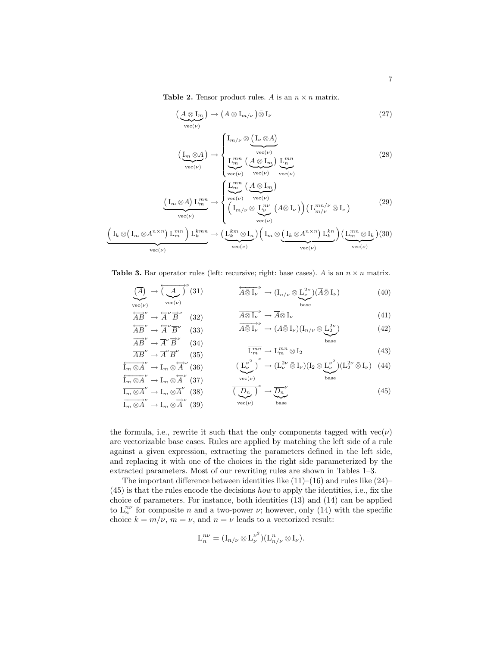**Table 2.** Tensor product rules. A is an  $n \times n$  matrix.

$$
\left(\underbrace{A \otimes I_m}_{\text{vec}(\nu)}\right) \to \left(A \otimes I_{m/\nu}\right) \bar{\otimes} I_{\nu} \tag{27}
$$

$$
\left(\underbrace{\mathrm{I}_m \otimes A}_{\mathrm{vec}(\nu)}\right) \rightarrow \begin{cases} \mathrm{I}_{m/\nu} \otimes \underbrace{\left(\mathrm{I}_\nu \otimes A\right)}_{\mathrm{vec}(\nu)} \\ \underbrace{\mathrm{I}_m^{mn}}_{\mathrm{vec}(\nu)} \underbrace{\left(A \otimes \mathrm{I}_m\right)}_{\mathrm{vec}(\nu)} \underbrace{\mathrm{I}_n^{mn}}_{\mathrm{vec}(\nu)} \end{cases} \tag{28}
$$

$$
\underbrace{\left(\mathbf{I}_{m}\otimes A\right)\mathbf{L}_{m}^{mn}}_{\text{vec}(\nu)} \rightarrow \begin{cases} \underbrace{\mathbf{L}_{m}^{mn}}_{\text{vec}(\nu)}\left(\underbrace{A\otimes \mathbf{I}_{m}}_{\text{vec}(\nu)}\right) & \text{(29)} \\ \left(\mathbf{I}_{m/\nu}\otimes \underbrace{\mathbf{L}_{\nu}^{\nu}}_{\text{vec}(\nu)}\left(A\bar{\otimes}\mathbf{I}_{\nu}\right)\right)\left(\mathbf{L}_{m/\nu}^{mn/\nu}\bar{\otimes}\mathbf{I}_{\nu}\right) & \text{(29)} \end{cases}
$$

$$
\underbrace{\left(\mathbf{I}_k \otimes (\mathbf{I}_m \otimes A^{n \times n}) \mathbf{L}_m^{mn}\right) \mathbf{L}_k^{kmn}}_{\text{vec}(\nu)} \rightarrow \underbrace{\left(\mathbf{L}_k^{k m} \otimes \mathbf{I}_n\right) \left(\mathbf{I}_m \otimes \underbrace{\left(\mathbf{I}_k \otimes A^{n \times n}\right) \mathbf{L}_k^{k n}}_{\text{vec}(\nu)}\right) \left(\underbrace{\mathbf{L}_m^{mn} \otimes \mathbf{I}_k}_{\text{vec}(\nu)}\right)}_{\text{vec}(\nu)} (30)
$$

**Table 3.** Bar operator rules (left: recursive; right: base cases). A is an  $n \times n$  matrix.

$$
\underbrace{\left(\overline{A}\right)}_{\text{vec}(\nu)} \to \underbrace{\left(\overline{A}\right)}_{\text{vec}(\nu)}^{\nu} (31) \qquad \qquad \overbrace{\overline{A\bar{\otimes} I_{\nu}}^{\nu}}^{\nu} \to \left(I_{n/\nu} \otimes \underbrace{L_{\nu}^{2\nu}}_{\text{base}}\right) (\overline{A\bar{\otimes} I_{\nu}}) \qquad (40)
$$

$$
\overleftrightarrow{AB}^{\nu} \to \overleftrightarrow{A}^{\nu} \overrightarrow{B}^{\nu} \quad (32) \qquad \overline{A \bar{\otimes} I_{\nu}}^{\nu} \to \overline{A} \bar{\otimes} I_{\nu} \qquad (41)
$$
  
\n
$$
\overleftrightarrow{AB}^{\nu} \to \overleftrightarrow{A}^{\nu} \overrightarrow{B}^{\nu} \quad (33) \qquad \overrightarrow{A \bar{\otimes} I_{\nu}}^{\nu} \to (\overline{A} \bar{\otimes} I_{\nu})(I_{n/\nu} \otimes L_2^{2\nu}) \qquad (42)
$$

$$
\frac{\overleftarrow{AB}^{\nu}}{\overrightarrow{AB}^{\nu}} \to \overleftarrow{A}^{\nu} \overrightarrow{B}^{\nu} \quad (33) \qquad \qquad \overrightarrow{A \bar{\otimes} 1_{\nu}}^{\nu} \to (\overrightarrow{A \bar{\otimes} 1_{\nu}}) (I_{n/\nu} \otimes \underline{L_2^{2\nu}}) \qquad (42)
$$
\n
$$
\overrightarrow{AB}^{\nu} \to \overrightarrow{A}^{\nu} \overrightarrow{B}^{\nu} \quad (34)
$$

$$
\frac{\overline{AB}^{\nu}}{AB^{\nu}} \to \overline{A}^{\nu} \overline{B}^{\nu} \qquad (35) \qquad \qquad \frac{\overline{L}_{m}^{mn}}{(\overline{L}_{m}^{\nu^{2}})^{\nu}} \to L_{m}^{mn} \otimes I_{2} \qquad (43)
$$

$$
\overbrace{\overbrace{\overline{\mathfrak{l}}_{m} \otimes A}^{\mu}}^{\mathfrak{r}} \to \overline{\mathfrak{l}}_{m} \otimes \overbrace{A}^{\mu} (36) \qquad \qquad \overbrace{(\underline{\mathfrak{l}}_{\nu}^{\nu^{2}})}^{\mathfrak{r}^{2}} \to (\overline{\mathfrak{l}}_{\nu}^{2\nu} \otimes \overline{\mathfrak{l}}_{\nu})(\overline{\mathfrak{l}}_{2} \otimes \underline{\mathfrak{l}}_{\nu}^{\nu^{2}})(\overline{\mathfrak{l}}_{2}^{2\nu} \otimes \overline{\mathfrak{l}}_{\nu}) \qquad (44)
$$
\n
$$
\overbrace{\overline{\mathfrak{l}}_{m} \otimes A}^{\mu} \to \overline{\mathfrak{l}}_{m} \otimes \overline{A}^{\nu} (37) \qquad \qquad \overbrace{\overbrace{\overline{\mathfrak{l}}_{m} \otimes \nu}}^{\mathfrak{r}^{2}} \to \overline{\mathfrak{l}}_{m} \otimes \overline{A}^{\nu}
$$

$$
\overline{\mathbf{I}_m \otimes A}^{\nu} \to \mathbf{I}_m \otimes \overline{A}^{\nu} \quad (38)
$$
\n
$$
\overline{\mathbf{I}_m \otimes A}^{\nu} \to \mathbf{I}_m \otimes \overline{A}^{\nu} \quad (39)
$$
\n
$$
\overline{\mathbf{I}_m \otimes A}^{\nu} \to \mathbf{I}_m \otimes \overline{A}^{\nu} \quad (45)
$$

the formula, i.e., rewrite it such that the only components tagged with  $vec(\nu)$ are vectorizable base cases. Rules are applied by matching the left side of a rule against a given expression, extracting the parameters defined in the left side, and replacing it with one of the choices in the right side parameterized by the extracted parameters. Most of our rewriting rules are shown in Tables 1–3.

The important difference between identities like  $(11)–(16)$  and rules like  $(24)–$ (45) is that the rules encode the decisions how to apply the identities, i.e., fix the choice of parameters. For instance, both identities (13) and (14) can be applied to  $L_n^{n\nu}$  for composite n and a two-power  $\nu$ ; however, only (14) with the specific choice  $k = m/\nu$ ,  $m = \nu$ , and  $n = \nu$  leads to a vectorized result:

$$
\mathcal{L}_n^{n\nu} = (\mathcal{I}_{n/\nu} \otimes \mathcal{L}_{\nu}^{\nu^2})(\mathcal{L}_{n/\nu}^n \otimes \mathcal{I}_{\nu}).
$$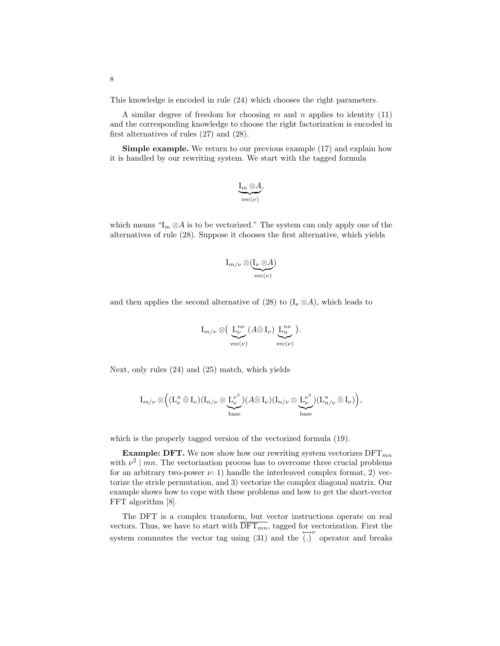This knowledge is encoded in rule (24) which chooses the right parameters.

A similar degree of freedom for choosing  $m$  and  $n$  applies to identity (11) and the corresponding knowledge to choose the right factorization is encoded in first alternatives of rules (27) and (28).

Simple example. We return to our previous example (17) and explain how it is handled by our rewriting system. We start with the tagged formula

$$
\underbrace{\operatorname{I}_m \otimes A}_{\operatorname{vec}(\nu)},
$$

which means " $I_m \otimes A$  is to be vectorized." The system can only apply one of the alternatives of rule (28). Suppose it chooses the first alternative, which yields

$$
\mathrm{I}_{m/\nu}\otimes (\underline{\mathrm{I}_\nu\otimes A})_{\mathrm{vec}(\nu)}
$$

and then applies the second alternative of (28) to  $(I_{\nu} \otimes A)$ , which leads to

$$
I_{m/\nu} \otimes \Big( \underbrace{L_{\nu}^{n\nu}}_{\text{vec}(\nu)} (A \bar{\otimes} I_{\nu}) \underbrace{L_{n}^{n\nu}}_{\text{vec}(\nu)} \Big).
$$

Next, only rules (24) and (25) match, which yields

$$
I_{m/\nu} \otimes \Big( (L^n_\nu \bar{\otimes} I_\nu) (I_{n/\nu} \otimes \underbrace{L^{ \nu^2}_\nu }_{\text{base}}) (A \bar{\otimes} I_\nu) (I_{n/\nu} \otimes \underbrace{L^{ \nu^2}_\nu }_{\text{base}}) (L^n_{n/\nu} \bar{\otimes} I_\nu) \Big),
$$

which is the properly tagged version of the vectorized formula (19).

**Example: DFT.** We now show how our rewriting system vectorizes  $\text{DFT}_{mn}$ with  $\nu^2 \mid mn$ . The vectorization process has to overcome three crucial problems for an arbitrary two-power  $\nu$ : 1) handle the interleaved complex format, 2) vectorize the stride permutation, and 3) vectorize the complex diagonal matrix. Our example shows how to cope with these problems and how to get the short-vector FFT algorithm [8].

The DFT is a complex transform, but vector instructions operate on real vectors. Thus, we have to start with  $\overline{\text{DFT}_{mn}}$ , tagged for vectorization. First the system commutes the vector tag using (31) and the  $\overset{\longleftrightarrow}{(\cdot)}$  operator and breaks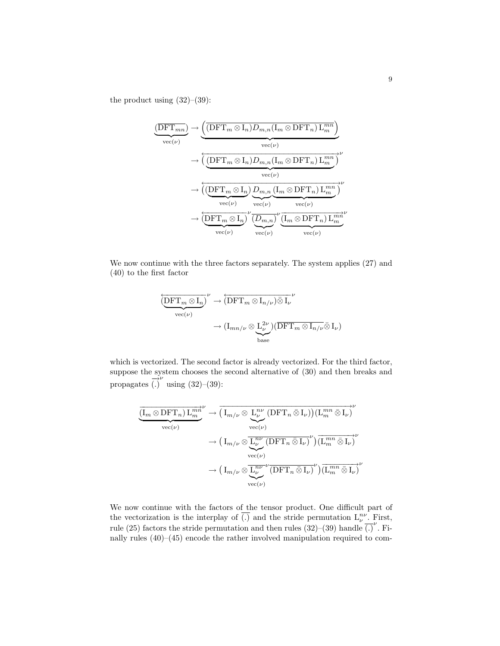the product using  $(32)$ – $(39)$ :

$$
\underbrace{\frac{\left(\overline{\mathrm{DFT}_{mn}}\right)}{\mathrm{vec}(\nu)} \rightarrow \underbrace{\left(\overline{\left(\mathrm{DFT}_{m}\otimes I_n\right)D_{m,n}\left(I_m\otimes\mathrm{DFT}_n\right)L_m^{mn}}\right)}_{\text{vec}(\nu)} \rightarrow \underbrace{\left(\underbrace{\left(\overline{\mathrm{DFT}}_{m}\otimes I_n\right)D_{m,n}\left(I_m\otimes\mathrm{DFT}_n\right)L_m^{mn}}_{\text{vec}(\nu)}\right)^{\nu}}_{\text{vec}(\nu)} \rightarrow \underbrace{\left(\underbrace{\left(\overline{\mathrm{DFT}}_{m}\otimes I_n\right)D_{m,n}\left(I_m\otimes\mathrm{DFT}_n\right)L_m^{mn}}_{\text{vec}(\nu)}\right)^{\nu}}_{\text{vec}(\nu)} \rightarrow \underbrace{\left(\overline{\mathrm{DFT}}_{m}\otimes I_n\right)^{\nu}\underbrace{\left(\overline{D_{m,n}}\right)^{\nu}\left(I_m\otimes\mathrm{DFT}_n\right)L_m^{mn}}_{\text{vec}(\nu)}}_{\text{vec}(\nu)}
$$

We now continue with the three factors separately. The system applies (27) and (40) to the first factor

$$
\begin{aligned}\n&\left(\underbrace{\overline{\text{DFT}_{m}\otimes I_{n}}}_{\text{vec}(\nu)}\right)^{\nu} &\to \left(\overline{\text{DFT}_{m}\otimes I_{n/\nu}}\right)\bar{\otimes I_{\nu}}^{\nu} \\
&\to (I_{mn/\nu}\otimes \underbrace{L_{\nu}^{2\nu}}_{\text{base}})\left(\overline{\text{DFT}_{m}\otimes I_{n/\nu}}\bar{\otimes}I_{\nu}\right)\n\end{aligned}
$$

which is vectorized. The second factor is already vectorized. For the third factor, suppose the system chooses the second alternative of (30) and then breaks and propagates  $\overrightarrow{)}$  using  $(32)$ – $(39)$ :

$$
\frac{\overline{(\mathrm{I}_{m} \otimes \mathrm{DFT}_{n}) \mathrm{L}_{m}^{m}{}^{\nu}}}{\mathrm{vec}(\nu)} \rightarrow \overline{(\mathrm{I}_{m/\nu} \otimes \underset{\mathrm{vec}(\nu)}{\underbrace{\mathrm{L}_{\nu}^{n\nu} (\mathrm{DFT}_{n} \otimes \mathrm{I}_{\nu})} ) (\mathrm{L}_{m}^{mn} \otimes \mathrm{I}_{\nu})}^{\nu} \rightarrow (\mathrm{I}_{m/\nu} \otimes \underset{\mathrm{vec}(\nu)}{\underbrace{\mathrm{L}_{\nu}^{n\nu} (\mathrm{DFT}_{n} \otimes \mathrm{I}_{\nu})}^{\nu}) \overline{(\mathrm{L}_{m}^{mn} \otimes \mathrm{I}_{\nu})}^{\nu} \rightarrow (\mathrm{I}_{m/\nu} \otimes \underset{\mathrm{vec}(\nu)}{\overline{\mathrm{L}_{\nu}^{n\nu} (\mathrm{DFT}_{n} \otimes \mathrm{I}_{\nu})}}^{\nu}) \overline{(\mathrm{L}_{m}^{mn} \otimes \mathrm{I}_{\nu})}^{\nu} \rightarrow (\mathrm{I}_{m/\nu} \otimes \underset{\mathrm{vec}(\nu)}{\overline{\mathrm{L}_{\nu}^{n\nu} (\mathrm{DFT}_{n} \otimes \mathrm{I}_{\nu})}}^{\nu}) \overline{(\mathrm{L}_{m}^{mn} \otimes \mathrm{I}_{\nu})}^{\nu}
$$

We now continue with the factors of the tensor product. One difficult part of the vectorization is the interplay of  $\overline{(.)}$  and the stride permutation  $L^{nv}_{\nu}$ . First, rule (25) factors the stride permutation and then rules (32)–(39) handle  $\overline{(.)}^{\nu}$ . Finally rules (40)–(45) encode the rather involved manipulation required to com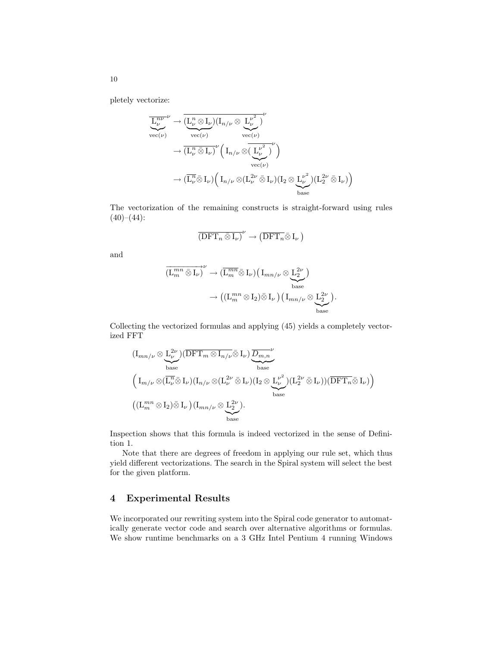pletely vectorize:

$$
\overline{L}_{\nu}^{n\nu} \rightarrow \overline{(L_{\nu}^{n} \otimes I_{\nu})(I_{n/\nu} \otimes L_{\nu}^{\nu^{2}})}_{\text{vec}(\nu)} \rightarrow \overline{(L_{\nu}^{n} \otimes I_{\nu})}^{(\text{vec}(\nu))} \left(I_{n/\nu} \otimes \overline{(L_{\nu}^{\nu^{2}})}^{\nu}\right) \rightarrow (\overline{L_{\nu}^{n} \otimes I_{\nu})}^{(\text{vec}(\nu))} \left(I_{n/\nu} \otimes \overline{(L_{\nu}^{\nu^{2}})}^{\nu}\right) \rightarrow (\overline{L_{\nu}^{n} \otimes I_{\nu}}) \left(I_{n/\nu} \otimes \overline{(L_{\nu}^{2\nu} \otimes I_{\nu})(I_{2} \otimes L_{\nu}^{\nu^{2}})(L_{2}^{2\nu} \otimes I_{\nu})}\right) \text{base}
$$

The vectorization of the remaining constructs is straight-forward using rules  $(40)–(44)$ :

$$
\overline{\left(\mathrm{DFT}_n\,\bar{\otimes}\,\mathrm{I}_\nu\right)}^\nu\,\rightarrow\,\left(\overline{\mathrm{DFT}_n\,\bar{\otimes}\,\mathrm{I}_\nu\,\right)
$$

and

$$
\overrightarrow{\left(\mathbf{L}_{m}^{mn}\bar{\otimes}\mathbf{I}_{\nu}\right)}^{\nu}\to\overrightarrow{\left(\mathbf{L}_{m}^{mn}\bar{\otimes}\mathbf{I}_{\nu}\right)}\left(\mathbf{I}_{mn/\nu}\otimes\underbrace{\mathbf{L}_{2}^{2\nu}}_{\text{base}}\right)
$$

$$
\to\left(\left(\mathbf{L}_{m}^{mn}\otimes\mathbf{I}_{2}\right)\bar{\otimes}\mathbf{I}_{\nu}\right)\left(\mathbf{I}_{mn/\nu}\otimes\underbrace{\mathbf{L}_{2}^{2\nu}}_{\text{base}}\right).
$$

Collecting the vectorized formulas and applying (45) yields a completely vectorized FFT

$$
\begin{aligned}\n&\left(\mathbf{I}_{mn/\nu}\otimes\underbrace{\mathbf{L}_{\nu}^{2\nu}}\right)\left(\overline{\text{DFT}}_{m}\otimes\mathbf{I}_{n/\nu}\bar{\otimes}\mathbf{I}_{\nu}\right)\underbrace{\overline{D_{m,n}}^{\nu}}_{\text{base}} \\
&\left(\mathbf{I}_{m/\nu}\otimes(\overline{\mathbf{L}_{\nu}^{n}}\bar{\otimes}\mathbf{I}_{\nu})(\mathbf{I}_{n/\nu}\otimes(\mathbf{L}_{\nu}^{2\nu}\bar{\otimes}\mathbf{I}_{\nu})(\mathbf{I}_{2}\otimes\underbrace{\mathbf{L}_{\nu}^{\nu^{2}}})(\mathbf{L}_{2}^{2\nu}\bar{\otimes}\mathbf{I}_{\nu}))(\overline{\text{DFT}_{n}}\bar{\otimes}\mathbf{I}_{\nu})\right) \\
&\left((\mathbf{L}_{m}^{mn}\otimes\mathbf{I}_{2})\bar{\otimes}\mathbf{I}_{\nu}\right)\left(\mathbf{I}_{mn/\nu}\otimes\underbrace{\mathbf{L}_{2}^{2\nu}}_{\text{base}}\right).\n\end{aligned}
$$

Inspection shows that this formula is indeed vectorized in the sense of Definition 1.

Note that there are degrees of freedom in applying our rule set, which thus yield different vectorizations. The search in the Spiral system will select the best for the given platform.

# 4 Experimental Results

We incorporated our rewriting system into the Spiral code generator to automatically generate vector code and search over alternative algorithms or formulas. We show runtime benchmarks on a 3 GHz Intel Pentium 4 running Windows

10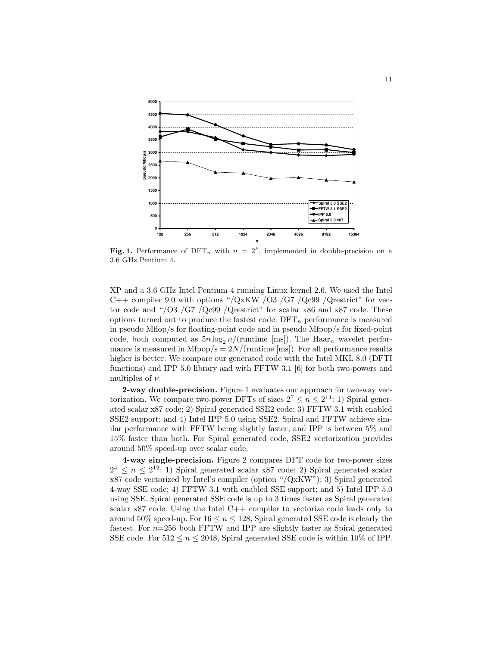

Fig. 1. Performance of DFT<sub>n</sub> with  $n = 2<sup>k</sup>$ , implemented in double-precision on a 3.6 GHz Pentium 4.

XP and a 3.6 GHz Intel Pentium 4 running Linux kernel 2.6. We used the Intel C++ compiler 9.0 with options "/QxKW /O3 /G7 /Qc99 /Qrestrict" for vector code and "/O3 /G7 /Qc99 /Qrestrict" for scalar x86 and x87 code. These options turned out to produce the fastest code.  $DFT_n$  performance is measured in pseudo Mflop/s for floating-point code and in pseudo Mfpop/s for fixed-point code, both computed as  $5n \log_2 n / (\text{runtime}$  [ms]). The Haar<sub>n</sub> wavelet performance is measured in Mfpop/s =  $2N/($ runtime [ms]). For all performance results higher is better. We compare our generated code with the Intel MKL 8.0 (DFTI functions) and IPP 5.0 library and with FFTW 3.1 [6] for both two-powers and multiples of  $\nu$ .

2-way double-precision. Figure 1 evaluates our approach for two-way vectorization. We compare two-power DFTs of sizes  $2^7 \leq n \leq 2^{14}$ : 1) Spiral generated scalar x87 code; 2) Spiral generated SSE2 code; 3) FFTW 3.1 with enabled SSE2 support; and 4) Intel IPP 5.0 using SSE2. Spiral and FFTW achieve similar performance with FFTW being slightly faster, and IPP is between 5% and 15% faster than both. For Spiral generated code, SSE2 vectorization provides around 50% speed-up over scalar code.

4-way single-precision. Figure 2 compares DFT code for two-power sizes  $2^4 \leq n \leq 2^{12}$ : 1) Spiral generated scalar x87 code; 2) Spiral generated scalar x87 code vectorized by Intel's compiler (option "/QxKW"); 3) Spiral generated 4-way SSE code; 4) FFTW 3.1 with enabled SSE support; and 5) Intel IPP 5.0 using SSE. Spiral generated SSE code is up to 3 times faster as Spiral generated scalar x87 code. Using the Intel C++ compiler to vectorize code leads only to around 50% speed-up. For  $16 \le n \le 128$ , Spiral generated SSE code is clearly the fastest. For  $n=256$  both FFTW and IPP are slightly faster as Spiral generated SSE code. For  $512 \le n \le 2048$ , Spiral generated SSE code is within 10% of IPP.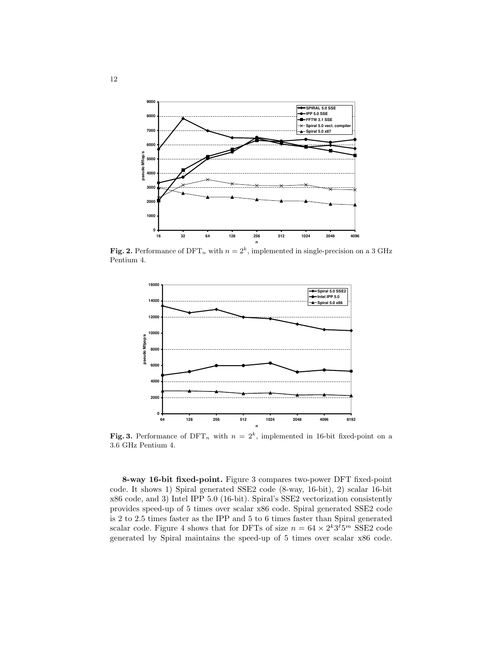

**Fig. 2.** Performance of DFT<sub>n</sub> with  $n = 2<sup>k</sup>$ , implemented in single-precision on a 3 GHz Pentium 4.



Fig. 3. Performance of DFT<sub>n</sub> with  $n = 2<sup>k</sup>$ , implemented in 16-bit fixed-point on a 3.6 GHz Pentium 4.

8-way 16-bit fixed-point. Figure 3 compares two-power DFT fixed-point code. It shows 1) Spiral generated SSE2 code (8-way, 16-bit), 2) scalar 16-bit x86 code, and 3) Intel IPP 5.0 (16-bit). Spiral's SSE2 vectorization consistently provides speed-up of 5 times over scalar x86 code. Spiral generated SSE2 code is 2 to 2.5 times faster as the IPP and 5 to 6 times faster than Spiral generated scalar code. Figure 4 shows that for DFTs of size  $n = 64 \times 2^k 3^{\ell} 5^m$  SSE2 code generated by Spiral maintains the speed-up of 5 times over scalar x86 code.

12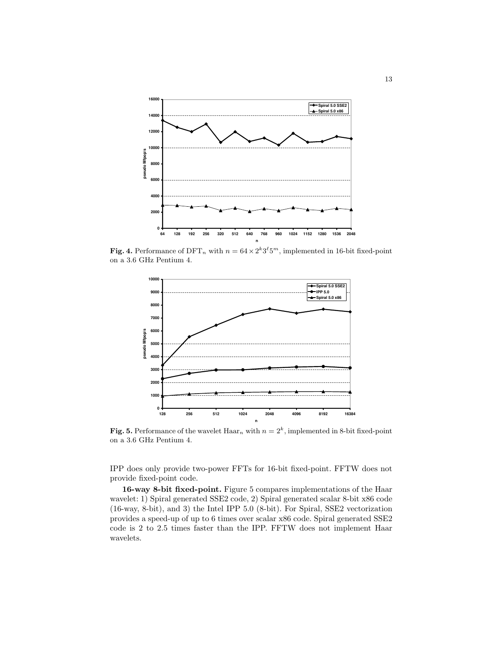

**Fig. 4.** Performance of DFT<sub>n</sub> with  $n = 64 \times 2^k 3^{\ell} 5^m$ , implemented in 16-bit fixed-point on a 3.6 GHz Pentium 4.



Fig. 5. Performance of the wavelet  $\text{Haar}_n$  with  $n = 2^k$ , implemented in 8-bit fixed-point on a 3.6 GHz Pentium 4.

IPP does only provide two-power FFTs for 16-bit fixed-point. FFTW does not provide fixed-point code.

16-way 8-bit fixed-point. Figure 5 compares implementations of the Haar wavelet: 1) Spiral generated SSE2 code, 2) Spiral generated scalar 8-bit x86 code (16-way, 8-bit), and 3) the Intel IPP 5.0 (8-bit). For Spiral, SSE2 vectorization provides a speed-up of up to 6 times over scalar x86 code. Spiral generated SSE2 code is 2 to 2.5 times faster than the IPP. FFTW does not implement Haar wavelets.